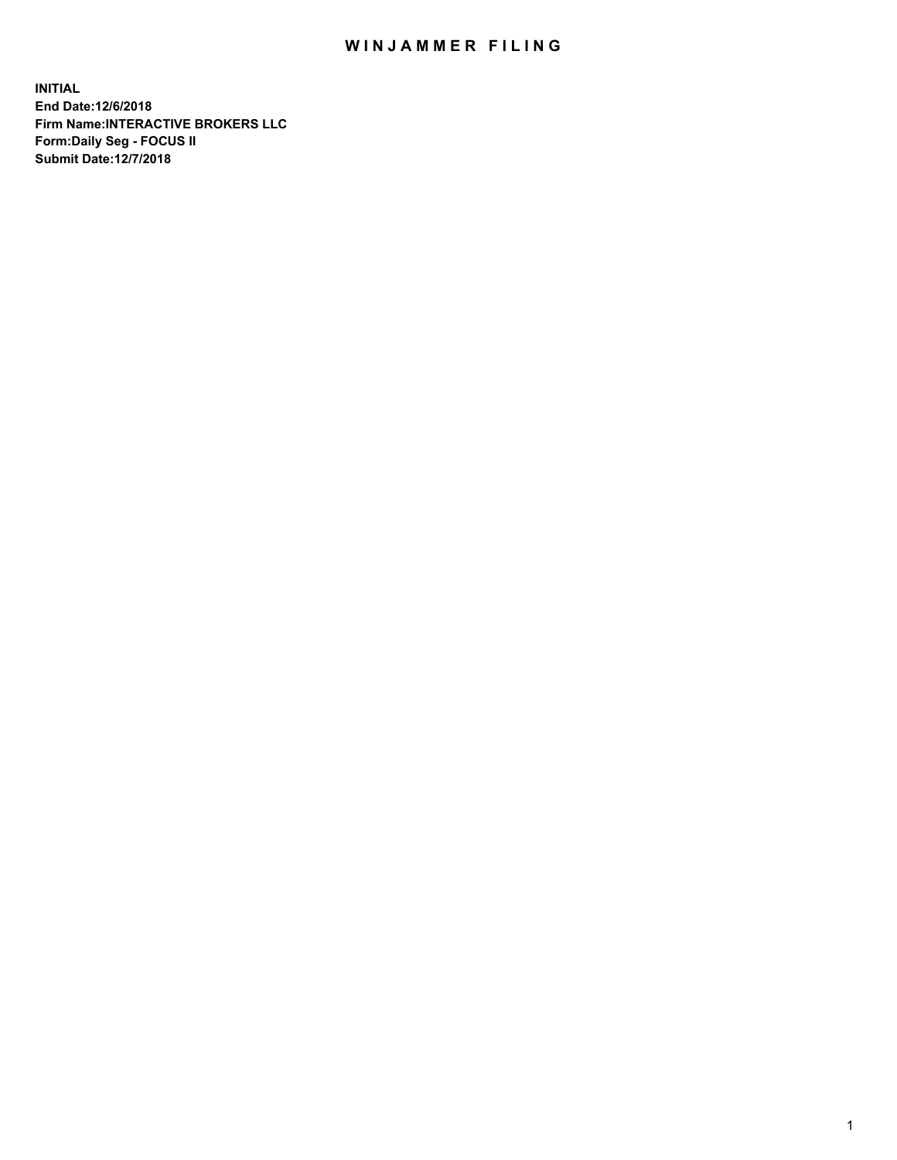## WIN JAMMER FILING

**INITIAL End Date:12/6/2018 Firm Name:INTERACTIVE BROKERS LLC Form:Daily Seg - FOCUS II Submit Date:12/7/2018**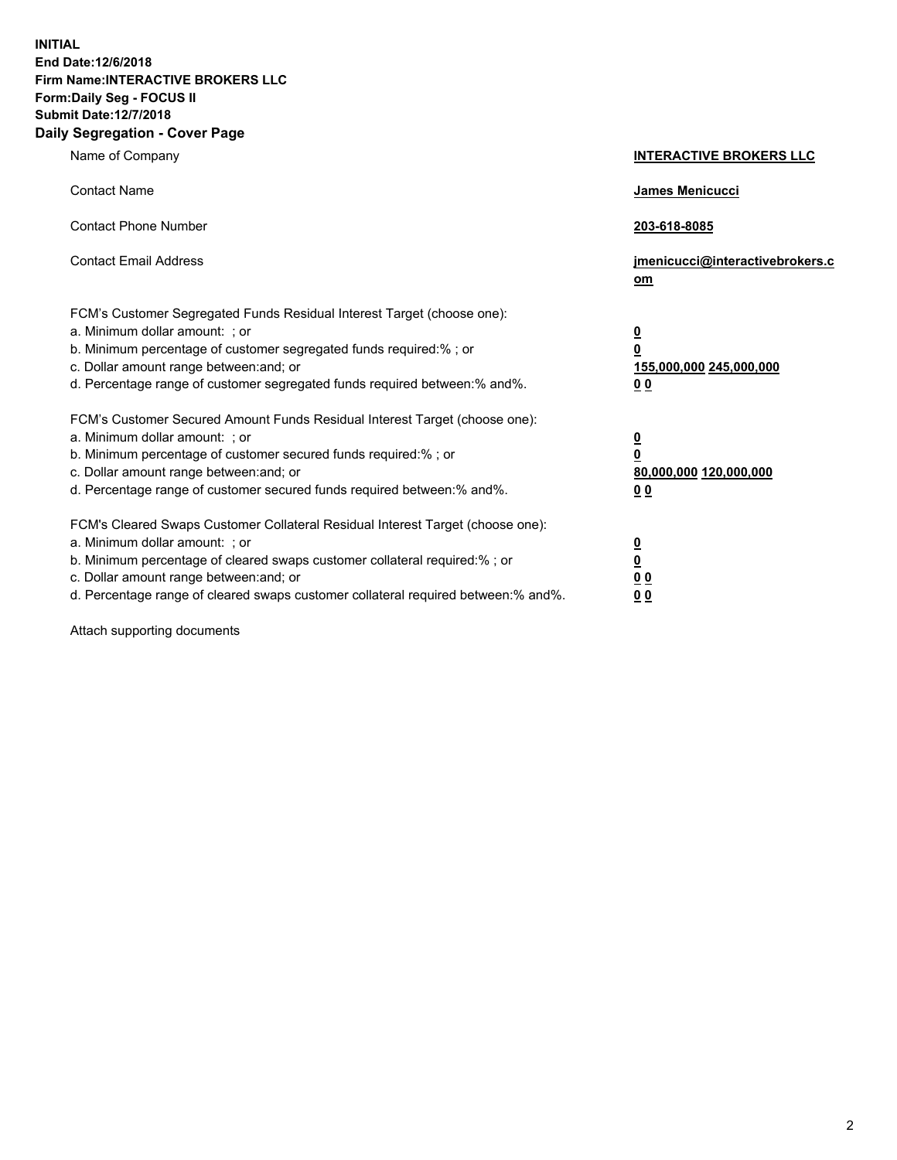**INITIAL End Date:12/6/2018 Firm Name:INTERACTIVE BROKERS LLC Form:Daily Seg - FOCUS II Submit Date:12/7/2018 Daily Segregation - Cover Page**

| Name of Company                                                                                                                                                                                                                                                                                                                | <b>INTERACTIVE BROKERS LLC</b>                                                                  |
|--------------------------------------------------------------------------------------------------------------------------------------------------------------------------------------------------------------------------------------------------------------------------------------------------------------------------------|-------------------------------------------------------------------------------------------------|
| <b>Contact Name</b>                                                                                                                                                                                                                                                                                                            | James Menicucci                                                                                 |
| <b>Contact Phone Number</b>                                                                                                                                                                                                                                                                                                    | 203-618-8085                                                                                    |
| <b>Contact Email Address</b>                                                                                                                                                                                                                                                                                                   | jmenicucci@interactivebrokers.c<br>om                                                           |
| FCM's Customer Segregated Funds Residual Interest Target (choose one):<br>a. Minimum dollar amount: ; or<br>b. Minimum percentage of customer segregated funds required:% ; or<br>c. Dollar amount range between: and; or<br>d. Percentage range of customer segregated funds required between:% and%.                         | $\overline{\mathbf{0}}$<br>$\overline{\mathbf{0}}$<br>155,000,000 245,000,000<br>0 <sub>0</sub> |
| FCM's Customer Secured Amount Funds Residual Interest Target (choose one):<br>a. Minimum dollar amount: ; or<br>b. Minimum percentage of customer secured funds required:% ; or<br>c. Dollar amount range between: and; or<br>d. Percentage range of customer secured funds required between:% and%.                           | $\overline{\mathbf{0}}$<br>0<br>80,000,000 120,000,000<br>0 <sub>0</sub>                        |
| FCM's Cleared Swaps Customer Collateral Residual Interest Target (choose one):<br>a. Minimum dollar amount: ; or<br>b. Minimum percentage of cleared swaps customer collateral required:% ; or<br>c. Dollar amount range between: and; or<br>d. Percentage range of cleared swaps customer collateral required between:% and%. | $\overline{\mathbf{0}}$<br><u>0</u><br>$\underline{0}$ $\underline{0}$<br>00                    |

Attach supporting documents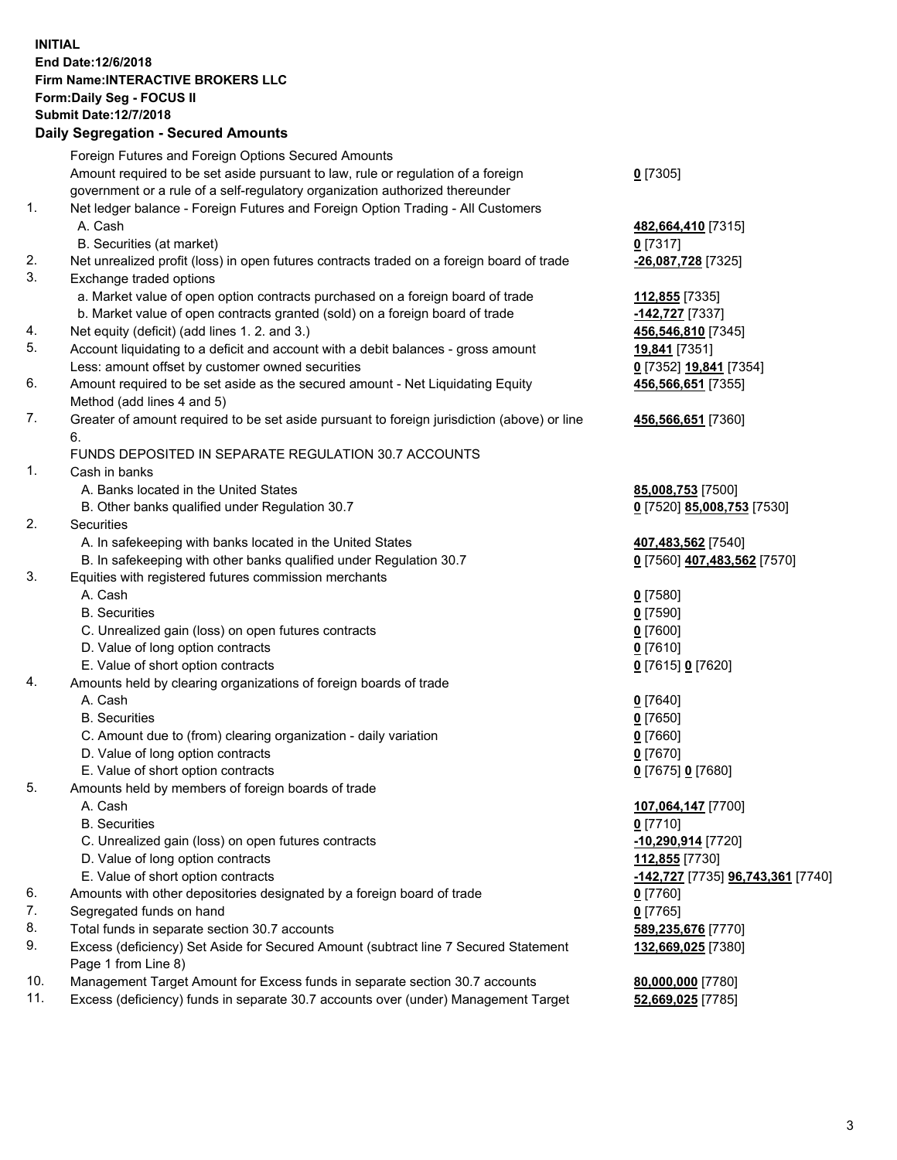## **INITIAL End Date:12/6/2018 Firm Name:INTERACTIVE BROKERS LLC Form:Daily Seg - FOCUS II Submit Date:12/7/2018 Daily Segregation - Secured Amounts**

|     | Daily Segregation - Secured Amounts                                                         |                                                 |
|-----|---------------------------------------------------------------------------------------------|-------------------------------------------------|
|     | Foreign Futures and Foreign Options Secured Amounts                                         |                                                 |
|     | Amount required to be set aside pursuant to law, rule or regulation of a foreign            | $0$ [7305]                                      |
|     | government or a rule of a self-regulatory organization authorized thereunder                |                                                 |
| 1.  | Net ledger balance - Foreign Futures and Foreign Option Trading - All Customers             |                                                 |
|     | A. Cash                                                                                     | 482,664,410 [7315]                              |
|     | B. Securities (at market)                                                                   | $0$ [7317]                                      |
| 2.  | Net unrealized profit (loss) in open futures contracts traded on a foreign board of trade   | -26,087,728 [7325]                              |
| 3.  | Exchange traded options                                                                     |                                                 |
|     | a. Market value of open option contracts purchased on a foreign board of trade              | 112,855 [7335]                                  |
|     | b. Market value of open contracts granted (sold) on a foreign board of trade                | -142,727 [7337]                                 |
| 4.  | Net equity (deficit) (add lines 1. 2. and 3.)                                               | 456,546,810 [7345]                              |
| 5.  | Account liquidating to a deficit and account with a debit balances - gross amount           | 19,841 [7351]                                   |
|     | Less: amount offset by customer owned securities                                            | 0 [7352] 19,841 [7354]                          |
| 6.  | Amount required to be set aside as the secured amount - Net Liquidating Equity              | 456,566,651 [7355]                              |
|     | Method (add lines 4 and 5)                                                                  |                                                 |
| 7.  | Greater of amount required to be set aside pursuant to foreign jurisdiction (above) or line | 456,566,651 [7360]                              |
|     | 6.                                                                                          |                                                 |
|     | FUNDS DEPOSITED IN SEPARATE REGULATION 30.7 ACCOUNTS                                        |                                                 |
| 1.  | Cash in banks                                                                               |                                                 |
|     | A. Banks located in the United States                                                       | 85,008,753 [7500]                               |
|     | B. Other banks qualified under Regulation 30.7                                              | 0 [7520] 85,008,753 [7530]                      |
| 2.  | Securities                                                                                  |                                                 |
|     | A. In safekeeping with banks located in the United States                                   | 407,483,562 [7540]                              |
|     | B. In safekeeping with other banks qualified under Regulation 30.7                          | 0 [7560] 407,483,562 [7570]                     |
| 3.  | Equities with registered futures commission merchants                                       |                                                 |
|     | A. Cash                                                                                     | $0$ [7580]                                      |
|     | <b>B.</b> Securities                                                                        | $0$ [7590]                                      |
|     | C. Unrealized gain (loss) on open futures contracts                                         | $0$ [7600]                                      |
|     | D. Value of long option contracts                                                           | $0$ [7610]                                      |
|     | E. Value of short option contracts                                                          | 0 [7615] 0 [7620]                               |
| 4.  | Amounts held by clearing organizations of foreign boards of trade                           |                                                 |
|     | A. Cash                                                                                     | $0$ [7640]                                      |
|     | <b>B.</b> Securities                                                                        | $0$ [7650]                                      |
|     | C. Amount due to (from) clearing organization - daily variation                             | $0$ [7660]                                      |
|     | D. Value of long option contracts                                                           | $0$ [7670]                                      |
|     | E. Value of short option contracts                                                          | 0 [7675] 0 [7680]                               |
| 5.  | Amounts held by members of foreign boards of trade                                          |                                                 |
|     | A. Cash                                                                                     | 107,064,147 [7700]                              |
|     | <b>B.</b> Securities                                                                        | $0$ [7710]                                      |
|     | C. Unrealized gain (loss) on open futures contracts                                         | -10,290,914 [7720]                              |
|     | D. Value of long option contracts                                                           | 112,855 [7730]                                  |
|     | E. Value of short option contracts                                                          | <u>-142,727</u> [7735] <u>96,743,361</u> [7740] |
| 6.  | Amounts with other depositories designated by a foreign board of trade                      | 0 [7760]                                        |
| 7.  | Segregated funds on hand                                                                    | $0$ [7765]                                      |
| 8.  | Total funds in separate section 30.7 accounts                                               | 589,235,676 [7770]                              |
| 9.  | Excess (deficiency) Set Aside for Secured Amount (subtract line 7 Secured Statement         | 132,669,025 [7380]                              |
|     | Page 1 from Line 8)                                                                         |                                                 |
| 10. | Management Target Amount for Excess funds in separate section 30.7 accounts                 | 80,000,000 [7780]                               |
| 11. | Excess (deficiency) funds in separate 30.7 accounts over (under) Management Target          | 52,669,025 [7785]                               |
|     |                                                                                             |                                                 |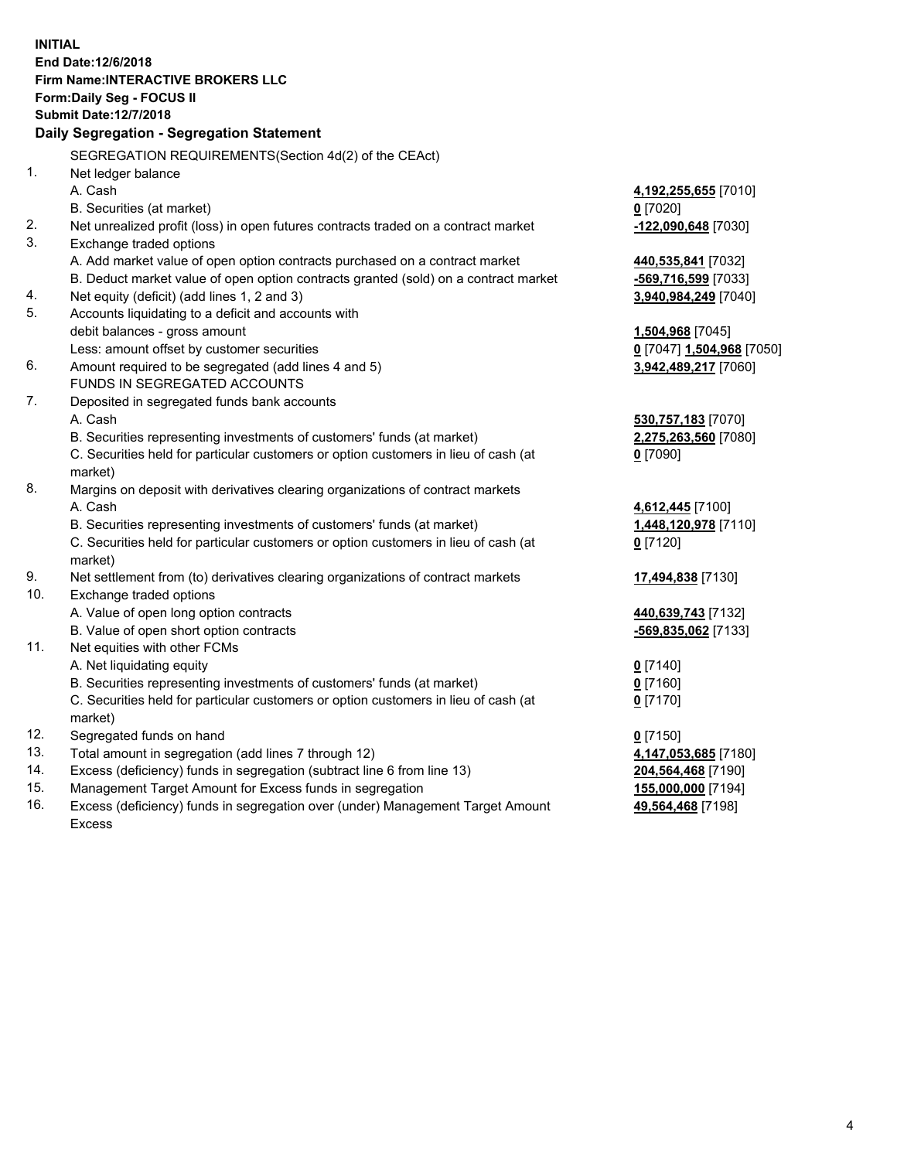**INITIAL End Date:12/6/2018 Firm Name:INTERACTIVE BROKERS LLC Form:Daily Seg - FOCUS II Submit Date:12/7/2018 Daily Segregation - Segregation Statement** SEGREGATION REQUIREMENTS(Section 4d(2) of the CEAct) 1. Net ledger balance A. Cash **4,192,255,655** [7010] B. Securities (at market) **0** [7020] 2. Net unrealized profit (loss) in open futures contracts traded on a contract market **-122,090,648** [7030] 3. Exchange traded options A. Add market value of open option contracts purchased on a contract market **440,535,841** [7032] B. Deduct market value of open option contracts granted (sold) on a contract market **-569,716,599** [7033] 4. Net equity (deficit) (add lines 1, 2 and 3) **3,940,984,249** [7040] 5. Accounts liquidating to a deficit and accounts with debit balances - gross amount **1,504,968** [7045] Less: amount offset by customer securities **0** [7047] **1,504,968** [7050] 6. Amount required to be segregated (add lines 4 and 5) **3,942,489,217** [7060] FUNDS IN SEGREGATED ACCOUNTS 7. Deposited in segregated funds bank accounts A. Cash **530,757,183** [7070] B. Securities representing investments of customers' funds (at market) **2,275,263,560** [7080] C. Securities held for particular customers or option customers in lieu of cash (at market) **0** [7090] 8. Margins on deposit with derivatives clearing organizations of contract markets A. Cash **4,612,445** [7100] B. Securities representing investments of customers' funds (at market) **1,448,120,978** [7110] C. Securities held for particular customers or option customers in lieu of cash (at market) **0** [7120] 9. Net settlement from (to) derivatives clearing organizations of contract markets **17,494,838** [7130] 10. Exchange traded options A. Value of open long option contracts **440,639,743** [7132] B. Value of open short option contracts **-569,835,062** [7133] 11. Net equities with other FCMs A. Net liquidating equity **0** [7140] B. Securities representing investments of customers' funds (at market) **0** [7160] C. Securities held for particular customers or option customers in lieu of cash (at market) **0** [7170] 12. Segregated funds on hand **0** [7150] 13. Total amount in segregation (add lines 7 through 12) **4,147,053,685** [7180] 14. Excess (deficiency) funds in segregation (subtract line 6 from line 13) **204,564,468** [7190] 15. Management Target Amount for Excess funds in segregation **155,000,000** [7194] **49,564,468** [7198]

16. Excess (deficiency) funds in segregation over (under) Management Target Amount Excess